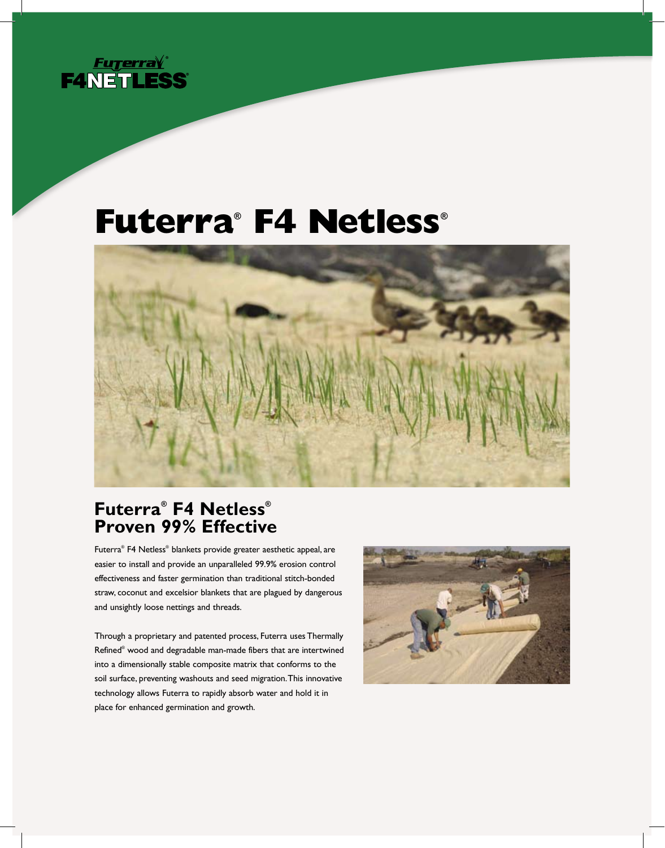

# **Futerra® F4 Netless®**



# **Futerra® F4 Netless® Proven 99% Effective**

Futerra® F4 Netless® blankets provide greater aesthetic appeal, are easier to install and provide an unparalleled 99.9% erosion control effectiveness and faster germination than traditional stitch-bonded straw, coconut and excelsior blankets that are plagued by dangerous and unsightly loose nettings and threads.

Through a proprietary and patented process, Futerra uses Thermally Refined® wood and degradable man-made fibers that are intertwined into a dimensionally stable composite matrix that conforms to the soil surface, preventing washouts and seed migration. This innovative technology allows Futerra to rapidly absorb water and hold it in place for enhanced germination and growth.